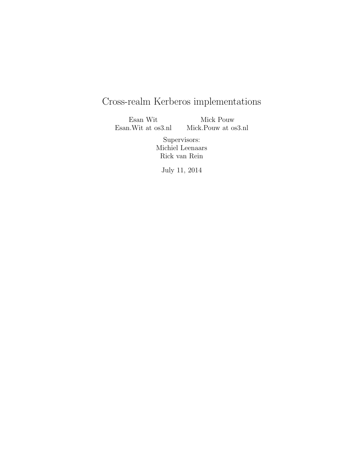# Cross-realm Kerberos implementations

Esan Wit Esan.Wit at os3.nl Mick Pouw Mick.Pouw at os3.nl

> Supervisors: Michiel Leenaars Rick van Rein

July 11, 2014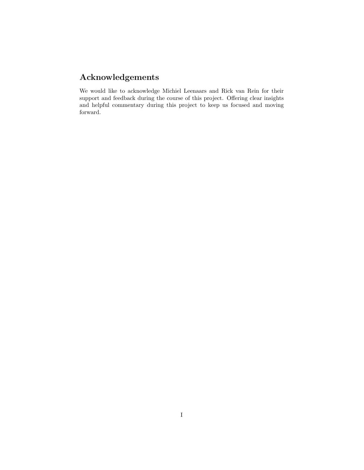# Acknowledgements

We would like to acknowledge Michiel Leenaars and Rick van Rein for their support and feedback during the course of this project. Offering clear insights and helpful commentary during this project to keep us focused and moving forward.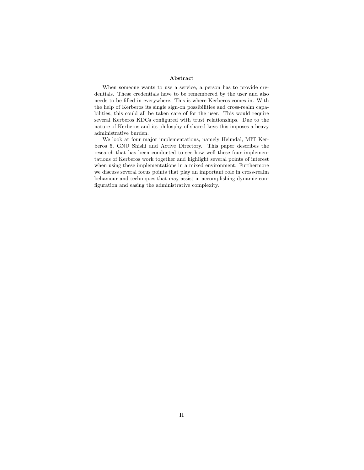#### Abstract

When someone wants to use a service, a person has to provide credentials. These credentials have to be remembered by the user and also needs to be filled in everywhere. This is where Kerberos comes in. With the help of Kerberos its single sign-on possibilities and cross-realm capabilities, this could all be taken care of for the user. This would require several Kerberos KDCs configured with trust relationships. Due to the nature of Kerberos and its philosphy of shared keys this imposes a heavy administrative burden.

We look at four major implementations, namely Heimdal, MIT Kerberos 5, GNU Shishi and Active Directory. This paper describes the research that has been conducted to see how well these four implementations of Kerberos work together and highlight several points of interest when using these implementations in a mixed environment. Furthermore we discuss several focus points that play an important role in cross-realm behaviour and techniques that may assist in accomplishing dynamic configuration and easing the administrative complexity.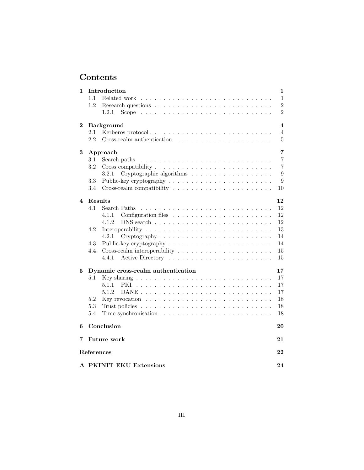# Contents

| 1        |                                          | Introduction                                                                       | 1                       |  |  |  |  |  |
|----------|------------------------------------------|------------------------------------------------------------------------------------|-------------------------|--|--|--|--|--|
|          | 1.1                                      | Related work                                                                       | $\mathbf{1}$            |  |  |  |  |  |
|          | 1.2                                      |                                                                                    | $\overline{2}$          |  |  |  |  |  |
|          |                                          | 1.2.1<br>Scope                                                                     | $\overline{2}$          |  |  |  |  |  |
| $\bf{2}$ |                                          | <b>Background</b>                                                                  | $\overline{\mathbf{4}}$ |  |  |  |  |  |
|          | 2.1                                      |                                                                                    | 4                       |  |  |  |  |  |
|          | 2.2                                      | $Cross-realm$ authentication $\ldots \ldots \ldots \ldots \ldots \ldots$           | $\bf 5$                 |  |  |  |  |  |
| 3        |                                          | Approach                                                                           | 7                       |  |  |  |  |  |
|          | 3.1                                      | Search paths                                                                       | $\overline{7}$          |  |  |  |  |  |
|          | 3.2                                      |                                                                                    | $\overline{7}$          |  |  |  |  |  |
|          |                                          | 3.2.1<br>Cryptographic algorithms                                                  | 9                       |  |  |  |  |  |
|          | 3.3                                      |                                                                                    | 9                       |  |  |  |  |  |
|          | $3.4\,$                                  |                                                                                    | 10                      |  |  |  |  |  |
| 4        | Results                                  |                                                                                    | 12                      |  |  |  |  |  |
|          | 4.1                                      | Search Paths                                                                       | 12                      |  |  |  |  |  |
|          |                                          | 4.1.1                                                                              | 12                      |  |  |  |  |  |
|          |                                          | 4.1.2                                                                              | 12                      |  |  |  |  |  |
|          | 4.2                                      |                                                                                    | 13                      |  |  |  |  |  |
|          |                                          | 4.2.1<br>$Cryptography \ldots \ldots \ldots \ldots \ldots \ldots \ldots \ldots$    | 14                      |  |  |  |  |  |
|          | 4.3                                      | Public-key cryptography $\dots \dots \dots \dots \dots \dots \dots \dots$          | 14                      |  |  |  |  |  |
|          | 4.4                                      | Cross-realm interoperability $\dots \dots \dots \dots \dots \dots \dots \dots$     | 15                      |  |  |  |  |  |
|          |                                          | 4.4.1                                                                              | 15                      |  |  |  |  |  |
| 5        | Dynamic cross-realm authentication<br>17 |                                                                                    |                         |  |  |  |  |  |
|          | $5.1\,$                                  |                                                                                    | 17                      |  |  |  |  |  |
|          |                                          | 5.1.1<br>PKI                                                                       | 17                      |  |  |  |  |  |
|          |                                          | 5.1.2                                                                              | 17                      |  |  |  |  |  |
|          | 5.2                                      | Key revocation $\dots \dots \dots \dots \dots \dots \dots \dots \dots \dots \dots$ | 18                      |  |  |  |  |  |
|          | 5.3                                      |                                                                                    | 18                      |  |  |  |  |  |
|          | 5.4                                      |                                                                                    | 18                      |  |  |  |  |  |
| 6        |                                          | Conclusion                                                                         | 20                      |  |  |  |  |  |
| 7        |                                          | <b>Future</b> work                                                                 | 21                      |  |  |  |  |  |
|          | References<br>22                         |                                                                                    |                         |  |  |  |  |  |
|          |                                          | A PKINIT EKU Extensions                                                            | 24                      |  |  |  |  |  |
|          |                                          |                                                                                    |                         |  |  |  |  |  |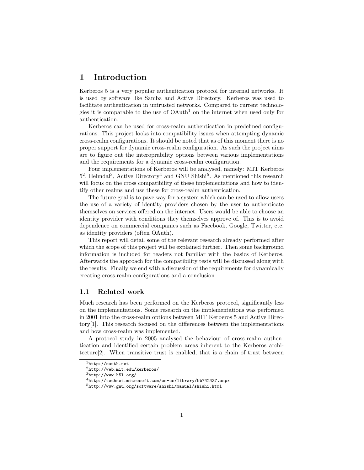# 1 Introduction

Kerberos 5 is a very popular authentication protocol for internal networks. It is used by software like Samba and Active Directory. Kerberos was used to facilitate authentication in untrusted networks. Compared to current technologies it is comparable to the use of  $O\text{Aut}h^1$  on the internet when used only for authentication.

Kerberos can be used for cross-realm authentication in predefined configurations. This project looks into compatibility issues when attempting dynamic cross-realm configurations. It should be noted that as of this moment there is no proper support for dynamic cross-realm configuration. As such the project aims are to figure out the interoprability options between various implementations and the requirements for a dynamic cross-realm configuration.

Four implementations of Kerberos will be analysed, namely: MIT Kerberos  $5^2$ , Heimdal<sup>3</sup>, Active Directory<sup>4</sup> and GNU Shishi<sup>5</sup>. As mentioned this research will focus on the cross compatibility of these implementations and how to identify other realms and use these for cross-realm authentication.

The future goal is to pave way for a system which can be used to allow users the use of a variety of identity providers chosen by the user to authenticate themselves on services offered on the internet. Users would be able to choose an identity provider with conditions they themselves approve of. This is to avoid dependence on commercial companies such as Facebook, Google, Twitter, etc. as identity providers (often OAuth).

This report will detail some of the relevant research already performed after which the scope of this project will be explained further. Then some background information is included for readers not familiar with the basics of Kerberos. Afterwards the approach for the compatibility tests will be discussed along with the results. Finally we end with a discussion of the requirements for dynamically creating cross-realm configurations and a conclusion.

#### 1.1 Related work

Much research has been performed on the Kerberos protocol, significantly less on the implementations. Some research on the implementations was performed in 2001 into the cross-realm options between MIT Kerberos 5 and Active Directory[1]. This research focused on the differences between the implementations and how cross-realm was implemented.

A protocol study in 2005 analysed the behaviour of cross-realm authentication and identified certain problem areas inherent to the Kerberos architecture[2]. When transitive trust is enabled, that is a chain of trust between

<sup>1</sup>http://oauth.net

<sup>2</sup>http://web.mit.edu/kerberos/

 $3$ http://www.h5l.org/

<sup>4</sup>http://technet.microsoft.com/en-us/library/bb742437.aspx

 $^{5}$ http://www.gnu.org/software/shishi/manual/shishi.html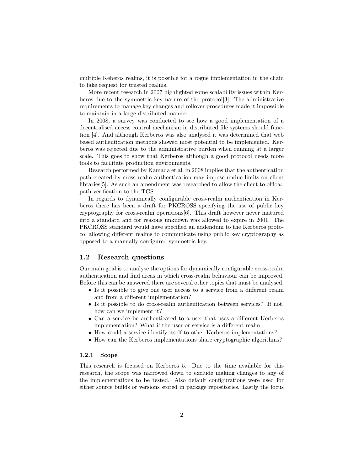multiple Keberos realms, it is possible for a rogue implementation in the chain to fake request for trusted realms.

More recent research in 2007 highlighted some scalability issues within Kerberos due to the symmetric key nature of the protocol[3]. The administrative requirements to manage key changes and rollover procedures made it impossible to maintain in a large distributed manner.

In 2008, a survey was conducted to see how a good implementation of a decentralised access control mechanism in distributed file systems should function [4]. And although Kerberos was also analysed it was determined that web based authentication methods showed most potential to be implemented. Kerberos was rejected due to the administrative burden when running at a larger scale. This goes to show that Kerberos although a good protocol needs more tools to facilitate production environments.

Research performed by Kamada et al. in 2008 implies that the authentication path created by cross realm authentication may impose undue limits on client libraries[5]. As such an amendment was researched to allow the client to offload path verification to the TGS.

In regards to dynamically configurable cross-realm authentication in Kerberos there has been a draft for PKCROSS specifying the use of public key cryptography for cross-realm operations[6]. This draft however never matured into a standard and for reasons unknown was allowed to expire in 2001. The PKCROSS standard would have specified an addendum to the Kerberos protocol allowing different realms to communicate using public key cryptography as opposed to a manually configured symmetric key.

### 1.2 Research questions

Our main goal is to analyse the options for dynamically configurable cross-realm authentication and find areas in which cross-realm behaviour can be improved. Before this can be answered there are several other topics that must be analysed.

- Is it possible to give one user access to a service from a different realm and from a different implementation?
- Is it possible to do cross-realm authentication between services? If not, how can we implement it?
- Can a service be authenticated to a user that uses a different Kerberos implementation? What if the user or service is a different realm
- How could a service identify itself to other Kerberos implementations?
- How can the Kerberos implementations share cryptographic algorithms?

#### 1.2.1 Scope

This research is focused on Kerberos 5. Due to the time available for this research, the scope was narrowed down to exclude making changes to any of the implementations to be tested. Also default configurations were used for either source builds or versions stored in package repositories. Lastly the focus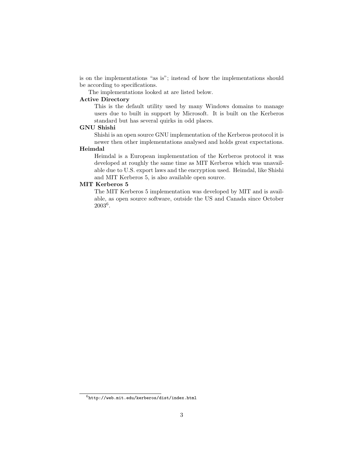is on the implementations "as is"; instead of how the implementations should be according to specifications.

The implementations looked at are listed below.

#### Active Directory

This is the default utility used by many Windows domains to manage users due to built in support by Microsoft. It is built on the Kerberos standard but has several quirks in odd places.

### GNU Shishi

Shishi is an open source GNU implementation of the Kerberos protocol it is newer then other implementations analysed and holds great expectations.

#### Heimdal

Heimdal is a European implementation of the Kerberos protocol it was developed at roughly the same time as MIT Kerberos which was unavailable due to U.S. export laws and the encryption used. Heimdal, like Shishi and MIT Kerberos 5, is also available open source.

#### MIT Kerberos 5

The MIT Kerberos 5 implementation was developed by MIT and is available, as open source software, outside the US and Canada since October 2003<sup>6</sup> .

 $^6$ http://web.mit.edu/kerberos/dist/index.html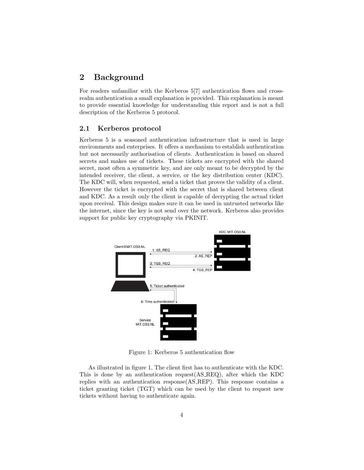# 2 Background

For readers unfamiliar with the Kerberos 5[7] authentication flows and crossrealm authentication a small explanation is provided. This explanation is meant to provide essential knowledge for understanding this report and is not a full description of the Kerberos 5 protocol.

# 2.1 Kerberos protocol

Kerberos 5 is a seasoned authentication infrastructure that is used in large environments and enterprises. It offers a mechanism to establish authentication but not necessarily authorisation of clients. Authentication is based on shared secrets and makes use of tickets. These tickets are encrypted with the shared secret, most often a symmetric key, and are only meant to be decrypted by the intended receiver, the client, a service, or the key distribution center (KDC). The KDC will, when requested, send a ticket that proves the validity of a client. However the ticket is encrypted with the secret that is shared between client and KDC. As a result only the client is capable of decrypting the actual ticket upon receival. This design makes sure it can be used in untrusted networks like the internet, since the key is not send over the network. Kerberos also provides support for public key cryptography via PKINIT.



Figure 1: Kerberos 5 authentication flow

As illustrated in figure 1, The client first has to authenticate with the KDC. This is done by an authentication request(AS REQ), after which the KDC replies with an authentication response(AS REP). This response contains a ticket granting ticket (TGT) which can be used by the client to request new tickets without having to authenticate again.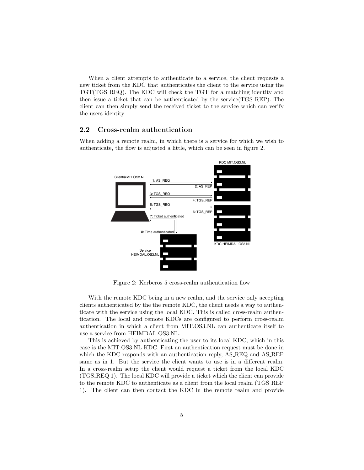When a client attempts to authenticate to a service, the client requests a new ticket from the KDC that authenticates the client to the service using the TGT(TGS REQ). The KDC will check the TGT for a matching identity and then issue a ticket that can be authenticated by the service(TGS REP). The client can then simply send the received ticket to the service which can verify the users identity.

### 2.2 Cross-realm authentication

When adding a remote realm, in which there is a service for which we wish to authenticate, the flow is adjusted a little, which can be seen in figure 2.



Figure 2: Kerberos 5 cross-realm authentication flow

With the remote KDC being in a new realm, and the service only accepting clients authenticated by the the remote KDC, the client needs a way to authenticate with the service using the local KDC. This is called cross-realm authentication. The local and remote KDCs are configured to perform cross-realm authentication in which a client from MIT.OS3.NL can authenticate itself to use a service from HEIMDAL.OS3.NL.

This is achieved by authenticating the user to its local KDC, which in this case is the MIT.OS3.NL KDC. First an authentication request must be done in which the KDC responds with an authentication reply, AS\_REQ and AS\_REP same as in 1. But the service the client wants to use is in a different realm. In a cross-realm setup the client would request a ticket from the local KDC (TGS REQ 1). The local KDC will provide a ticket which the client can provide to the remote KDC to authenticate as a client from the local realm (TGS REP 1). The client can then contact the KDC in the remote realm and provide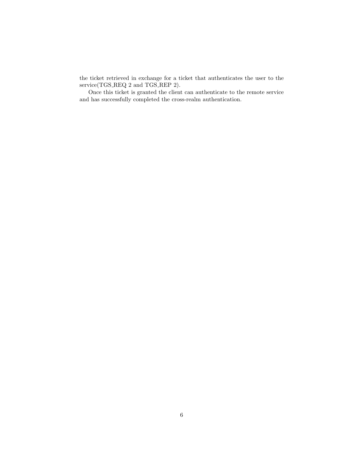the ticket retrieved in exchange for a ticket that authenticates the user to the service(TGS\_REQ 2 and TGS\_REP 2).

Once this ticket is granted the client can authenticate to the remote service and has successfully completed the cross-realm authentication.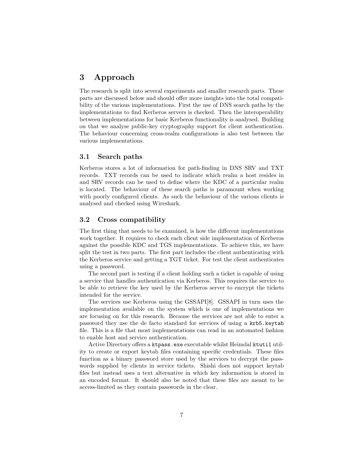# 3 Approach

The research is split into several experiments and smaller research parts. These parts are discussed below and should offer more insights into the total compatibility of the various implementations. First the use of DNS search paths by the implementations to find Kerberos servers is checked. Then the interoperability between implementations for basic Kerberos functionality is analysed. Building on that we analyse public-key cryptography support for client authentication. The behaviour concerning cross-realm configurations is also test between the various implementations.

#### 3.1 Search paths

Kerberos stores a lot of information for path-finding in DNS SRV and TXT records. TXT records can be used to indicate which realm a host resides in and SRV records can be used to define where the KDC of a particular realm is located. The behaviour of these search paths is paramount when working with poorly configured clients. As such the behaviour of the various clients is analysed and checked using Wireshark.

### 3.2 Cross compatibility

The first thing that needs to be examined, is how the different implementations work together. It requires to check each client side implementation of Kerberos against the possible KDC and TGS implementations. To achieve this, we have split the test in two parts. The first part includes the client authenticating with the Kerberos service and getting a TGT ticket. For test the client authenticates using a password.

The second part is testing if a client holding such a ticket is capable of using a service that handles authentication via Kerberos. This requires the service to be able to retrieve the key used by the Kerberos server to encrypt the tickets intended for the service.

The services use Kerberos using the GSSAPI[8]. GSSAPI in turn uses the implementation available on the system which is one of implementations we are focusing on for this research. Because the services are not able to enter a password they use the de facto standard for services of using a krb5.keytab file. This is a file that most implementations can read in an automated fashion to enable host and service authentication.

Active Directory offers a ktpass.exe executable whilst Heimdal ktutil utility to create or export keytab files containing specific credentials. These files function as a binary password store used by the services to decrypt the passwords supplied by clients in service tickets. Shishi does not support keytab files but instead uses a text alternative in which key information is stored in an encoded format. It should also be noted that these files are meant to be access-limited as they contain passwords in the clear.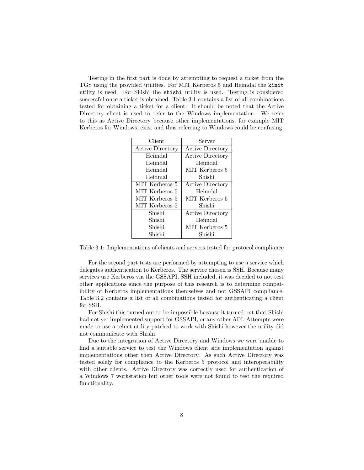Testing in the first part is done by attempting to request a ticket from the TGS using the provided utilities. For MIT Kerberos 5 and Heimdal the kinit utility is used. For Shishi the shishi utility is used. Testing is considered successful once a ticket is obtained. Table 3.1 contains a list of all combinations tested for obtaining a ticket for a client. It should be noted that the Active Directory client is used to refer to the Windows implementation. We refer to this as Active Directory because other implementations, for example MIT Kerberos for Windows, exist and thus referring to Windows could be confusing.

| Client                  | Server                  |  |  |
|-------------------------|-------------------------|--|--|
| <b>Active Directory</b> | <b>Active Directory</b> |  |  |
| Heimdal                 | <b>Active Directory</b> |  |  |
| Heimdal                 | Heimdal                 |  |  |
| Heimdal                 | MIT Kerberos 5          |  |  |
| Heidmal                 | Shishi                  |  |  |
| MIT Kerberos 5          | <b>Active Directory</b> |  |  |
| MIT Kerberos 5          | Heimdal                 |  |  |
| MIT Kerberos 5          | MIT Kerberos 5          |  |  |
| MIT Kerberos 5          | Shishi                  |  |  |
| Shishi                  | <b>Active Directory</b> |  |  |
| Shishi                  | Heimdal                 |  |  |
| Shishi                  | MIT Kerberos 5          |  |  |
| Shishi                  | Shishi                  |  |  |

Table 3.1: Implementations of clients and servers tested for protocol compliance

For the second part tests are performed by attempting to use a service which delegates authentication to Kerberos. The service chosen is SSH. Because many services use Kerberos via the GSSAPI, SSH included, it was decided to not test other applications since the purpose of this research is to determine compatibility of Kerberos implementations themselves and not GSSAPI compliance. Table 3.2 contains a list of all combinations tested for authenticating a client for SSH.

For Shishi this turned out to be impossible because it turned out that Shishi had not yet implemented support for GSSAPI, or any other API. Attempts were made to use a telnet utility patched to work with Shishi however the utility did not communicate with Shishi.

Due to the integration of Active Directory and Windows we were unable to find a suitable service to test the Windows client side implementation against implementations other then Active Directory. As such Active Directory was tested solely for compliance to the Kerberos 5 protocol and interoperability with other clients. Active Directory was correctly used for authentication of a Windows 7 workstation but other tools were not found to test the required functionality.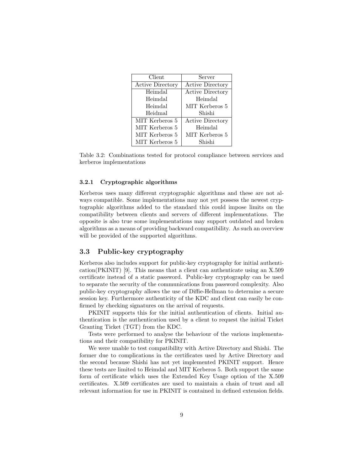| Client                  | Server                  |
|-------------------------|-------------------------|
| <b>Active Directory</b> | <b>Active Directory</b> |
| Heimdal                 | <b>Active Directory</b> |
| Heimdal                 | Heimdal                 |
| Heimdal                 | MIT Kerberos 5          |
| Heidmal                 | Shishi                  |
| MIT Kerberos 5          | <b>Active Directory</b> |
| MIT Kerberos 5          | Heimdal                 |
| MIT Kerberos 5          | MIT Kerberos 5          |
| MIT Kerberos 5          | Shishi                  |

Table 3.2: Combinations tested for protocol compliance between services and kerberos implementations

#### 3.2.1 Cryptographic algorithms

Kerberos uses many different cryptographic algorithms and these are not always compatible. Some implementations may not yet possess the newest cryptographic algorithms added to the standard this could impose limits on the compatibility between clients and servers of different implementations. The opposite is also true some implementations may support outdated and broken algorithms as a means of providing backward compatibility. As such an overview will be provided of the supported algorithms.

# 3.3 Public-key cryptography

Kerberos also includes support for public-key cryptography for initial authentication(PKINIT) [9]. This means that a client can authenticate using an X.509 certificate instead of a static password. Public-key cryptography can be used to separate the security of the communications from password complexity. Also public-key cryptography allows the use of Diffie-Hellman to determine a secure session key. Furthermore authenticity of the KDC and client can easily be confirmed by checking signatures on the arrival of requests.

PKINIT supports this for the initial authentication of clients. Initial authentication is the authentication used by a client to request the initial Ticket Granting Ticket (TGT) from the KDC.

Tests were performed to analyse the behaviour of the various implementations and their compatibility for PKINIT.

We were unable to test compatibility with Active Directory and Shishi. The former due to complications in the certificates used by Active Directory and the second because Shishi has not yet implemented PKINIT support. Hence these tests are limited to Heimdal and MIT Kerberos 5. Both support the same form of certificate which uses the Extended Key Usage option of the X.509 certificates. X.509 certificates are used to maintain a chain of trust and all relevant information for use in PKINIT is contained in defined extension fields.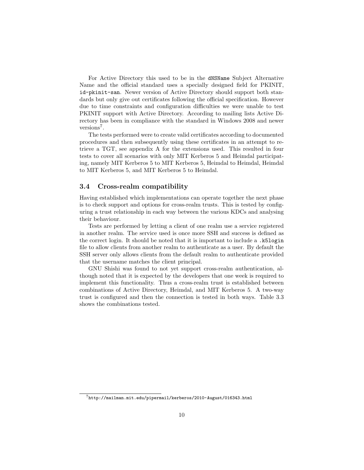For Active Directory this used to be in the dNSName Subject Alternative Name and the official standard uses a specially designed field for PKINIT, id-pkinit-san. Newer version of Active Directory should support both standards but only give out certificates following the official specification. However due to time constraints and configuration difficulties we were unable to test PKINIT support with Active Directory. According to mailing lists Active Directory has been in compliance with the standard in Windows 2008 and newer versions<sup>7</sup>.

The tests performed were to create valid certificates according to documented procedures and then subsequently using these certificates in an attempt to retrieve a TGT, see appendix A for the extensions used. This resulted in four tests to cover all scenarios with only MIT Kerberos 5 and Heimdal participating, namely MIT Kerberos 5 to MIT Kerberos 5, Heimdal to Heimdal, Heimdal to MIT Kerberos 5, and MIT Kerberos 5 to Heimdal.

#### 3.4 Cross-realm compatibility

Having established which implementations can operate together the next phase is to check support and options for cross-realm trusts. This is tested by configuring a trust relationship in each way between the various KDCs and analysing their behaviour.

Tests are performed by letting a client of one realm use a service registered in another realm. The service used is once more SSH and success is defined as the correct login. It should be noted that it is important to include a .k5login file to allow clients from another realm to authenticate as a user. By default the SSH server only allows clients from the default realm to authenticate provided that the username matches the client principal.

GNU Shishi was found to not yet support cross-realm authentication, although noted that it is expected by the developers that one week is required to implement this functionality. Thus a cross-realm trust is established between combinations of Active Directory, Heimdal, and MIT Kerberos 5. A two-way trust is configured and then the connection is tested in both ways. Table 3.3 shows the combinations tested.

 $^{7}$ http://mailman.mit.edu/pipermail/kerberos/2010-August/016343.html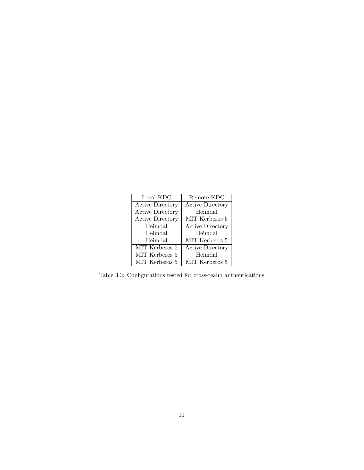| Local KDC               | Remote KDC              |
|-------------------------|-------------------------|
| <b>Active Directory</b> | <b>Active Directory</b> |
| <b>Active Directory</b> | Heimdal                 |
| <b>Active Directory</b> | MIT Kerberos 5          |
| Heimdal                 | Active Directory        |
| Heimdal                 | Heimdal                 |
| Heimdal                 | MIT Kerberos 5          |
| MIT Kerberos 5          | <b>Active Directory</b> |
| MIT Kerberos 5          | Heimdal                 |
| MIT Kerberos 5          | MIT Kerberos 5          |

Table 3.3: Configurations tested for cross-realm authentications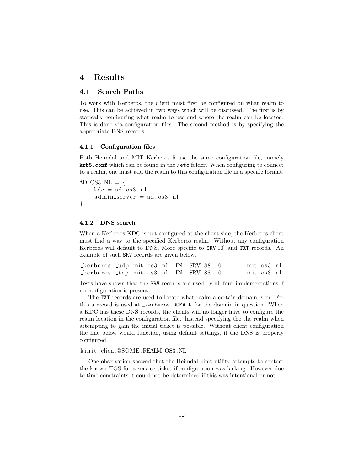# 4 Results

# 4.1 Search Paths

To work with Kerberos, the client must first be configured on what realm to use. This can be achieved in two ways which will be discussed. The first is by statically configuring what realm to use and where the realm can be located. This is done via configuration files. The second method is by specifying the appropriate DNS records.

#### 4.1.1 Configuration files

Both Heimdal and MIT Kerberos 5 use the same configuration file, namely krb5.conf which can be found in the /etc folder. When configuring to connect to a realm, one must add the realm to this configuration file in a specific format.

```
AD. OS3.NL = \{kdc = ad. os3. nl\alpha admin_server = \alphad. os 3. nl
}
```
#### 4.1.2 DNS search

When a Kerberos KDC is not configured at the client side, the Kerberos client must find a way to the specified Kerberos realm. Without any configuration Kerberos will default to DNS. More specific to SRV[10] and TXT records. An example of such SRV records are given below.

| $\text{kerberos}.$ $\text{udp}.\text{mit}.\text{os3}.$ nl IN SRV 88 0 1 mit. os 3. nl.                                                                                                                                                                                                                     |  |  |  |
|------------------------------------------------------------------------------------------------------------------------------------------------------------------------------------------------------------------------------------------------------------------------------------------------------------|--|--|--|
| $\text{Let } t$ is a set of $\text{Int } s$ is a set of $\text{Int } s$ is a set of $\text{Int } s$ is a set of $\text{Int } s$ is a set of $\text{Int } s$ is a set of $\text{Int } s$ is a set of $\text{Int } s$ is a set of $\text{Int } s$ is a set of $\text{Int } s$ is a set of $\text{Int } s$ is |  |  |  |

Tests have shown that the SRV records are used by all four implementations if no configuration is present.

The TXT records are used to locate what realm a certain domain is in. For this a record is used at \_kerberos.DOMAIN for the domain in question. When a KDC has these DNS records, the clients will no longer have to configure the realm location in the configuration file. Instead specifying the the realm when attempting to gain the initial ticket is possible. Without client configuration the line below would function, using default settings, if the DNS is properly configured.

kinit client@SOME.REALM.OS3.NL

One observation showed that the Heimdal kinit utility attempts to contact the known TGS for a service ticket if configuration was lacking. However due to time constraints it could not be determined if this was intentional or not.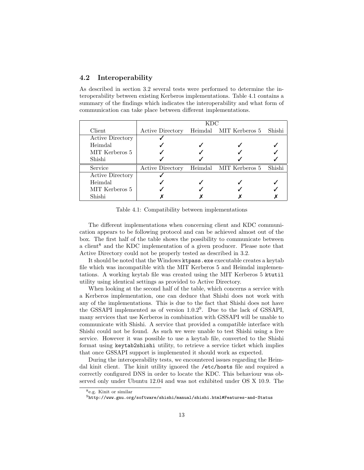# 4.2 Interoperability

As described in section 3.2 several tests were performed to determine the interoperability between existing Kerberos implementations. Table 4.1 contains a summary of the findings which indicates the interoperability and what form of communication can take place between different implementations.

|                         | KDC                     |  |                        |        |  |
|-------------------------|-------------------------|--|------------------------|--------|--|
| Client                  | <b>Active Directory</b> |  | Heimdal MIT Kerberos 5 | Shishi |  |
| <b>Active Directory</b> |                         |  |                        |        |  |
| Heimdal                 |                         |  |                        |        |  |
| MIT Kerberos 5          |                         |  |                        |        |  |
| Shishi                  |                         |  |                        |        |  |
| Service                 | <b>Active Directory</b> |  | Heimdal MIT Kerberos 5 | Shishi |  |
| <b>Active Directory</b> |                         |  |                        |        |  |
| Heimdal                 |                         |  |                        |        |  |
| MIT Kerberos 5          |                         |  |                        |        |  |
| Shishi                  |                         |  |                        |        |  |

Table 4.1: Compatibility between implementations

The different implementations when concerning client and KDC communication appears to be following protocol and can be achieved almost out of the box. The first half of the table shows the possibility to communicate between a client<sup>8</sup> and the KDC implementation of a given producer. Please note that Active Directory could not be properly tested as described in 3.2.

It should be noted that the Windows ktpass.exe executable creates a keytab file which was incompatible with the MIT Kerberos 5 and Heimdal implementations. A working keytab file was created using the MIT Kerberos 5 ktutil utility using identical settings as provided to Active Directory.

When looking at the second half of the table, which concerns a service with a Kerberos implementation, one can deduce that Shishi does not work with any of the implementations. This is due to the fact that Shishi does not have the GSSAPI implemented as of version  $1.0.2<sup>9</sup>$ . Due to the lack of GSSAPI, many services that use Kerberos in combination with GSSAPI will be unable to communicate with Shishi. A service that provided a compatible interface with Shishi could not be found. As such we were unable to test Shishi using a live service. However it was possible to use a keytab file, converted to the Shishi format using keytab2shishi utility, to retrieve a service ticket which implies that once GSSAPI support is implemented it should work as expected.

During the interoperability tests, we encountered issues regarding the Heimdal kinit client. The kinit utility ignored the /etc/hosts file and required a correctly configured DNS in order to locate the KDC. This behaviour was observed only under Ubuntu 12.04 and was not exhibited under OS X 10.9. The

<sup>8</sup>e.g. Kinit or similar

 $^{9}$  http://www.gnu.org/software/shishi/manual/shishi.html#Features-and-Status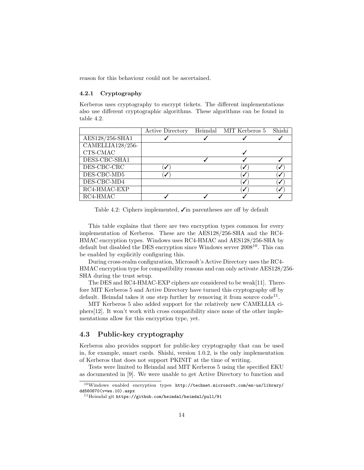reason for this behaviour could not be ascertained.

#### 4.2.1 Cryptography

Kerberos uses cryptography to encrypt tickets. The different implementations also use different cryptographic algorithms. These algorithms can be found in table 4.2.

|                  | <b>Active Directory</b> | Heimdal MIT Kerberos 5 Shishi |  |
|------------------|-------------------------|-------------------------------|--|
| AES128/256-SHA1  |                         |                               |  |
| CAMELLIA128/256- |                         |                               |  |
| CTS-CMAC         |                         |                               |  |
| DES3-CBC-SHA1    |                         |                               |  |
| DES-CBC-CRC      |                         |                               |  |
| DES-CBC-MD5      |                         |                               |  |
| DES-CBC-MD4      |                         | ✓                             |  |
| RC4-HMAC-EXP     |                         |                               |  |
| RC4-HMAC         |                         |                               |  |

Table 4.2: Ciphers implemented,  $\sqrt{\ }$  in parentheses are off by default

This table explains that there are two encryption types common for every implementation of Kerberos. These are the AES128/256-SHA and the RC4- HMAC encryption types. Windows uses RC4-HMAC and AES128/256-SHA by default but disabled the DES encryption since Windows server 2008<sup>10</sup>. This can be enabled by explicitly configuring this.

During cross-realm configuration, Microsoft's Active Directory uses the RC4- HMAC encryption type for compatibility reasons and can only activate AES128/256- SHA during the trust setup.

The DES and RC4-HMAC-EXP ciphers are considered to be weak[11]. Therefore MIT Kerberos 5 and Active Directory have turned this cryptography off by default. Heimdal takes it one step further by removing it from source  $\text{code}^{11}$ .

MIT Kerberos 5 also added support for the relatively new CAMELLIA ciphers[12]. It won't work with cross compatibility since none of the other implementations allow for this encryption type, yet.

#### 4.3 Public-key cryptography

Kerberos also provides support for public-key cryptography that can be used in, for example, smart cards. Shishi, version 1.0.2, is the only implementation of Kerberos that does not support PKINIT at the time of writing.

Tests were limited to Heimdal and MIT Kerberos 5 using the specified EKU as documented in [9]. We were unable to get Active Directory to function and

<sup>10</sup>Windows enabled encryption types http://technet.microsoft.com/en-us/library/ dd560670(v=ws.10).aspx

<sup>11</sup>Heimdal git https://github.com/heimdal/heimdal/pull/91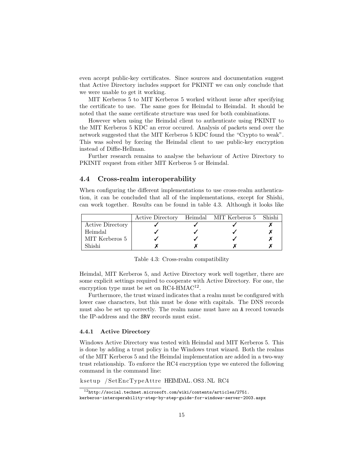even accept public-key certificates. Since sources and documentation suggest that Active Directory includes support for PKINIT we can only conclude that we were unable to get it working.

MIT Kerberos 5 to MIT Kerberos 5 worked without issue after specifying the certificate to use. The same goes for Heimdal to Heimdal. It should be noted that the same certificate structure was used for both combinations.

However when using the Heimdal client to authenticate using PKINIT to the MIT Kerberos 5 KDC an error occured. Analysis of packets send over the network suggested that the MIT Kerberos 5 KDC found the "Crypto to weak". This was solved by forcing the Heimdal client to use public-key encryption instead of Diffie-Hellman.

Further research remains to analyse the behaviour of Active Directory to PKINIT request from either MIT Kerberos 5 or Heimdal.

# 4.4 Cross-realm interoperability

When configuring the different implementations to use cross-realm authentication, it can be concluded that all of the implementations, except for Shishi, can work together. Results can be found in table 4.3. Although it looks like

|                         |  | Active Directory Heimdal MIT Kerberos 5 Shishi |  |
|-------------------------|--|------------------------------------------------|--|
| <b>Active Directory</b> |  |                                                |  |
| Heimdal                 |  |                                                |  |
| MIT Kerberos 5          |  |                                                |  |
| Shishi                  |  |                                                |  |

Table 4.3: Cross-realm compatibility

Heimdal, MIT Kerberos 5, and Active Directory work well together, there are some explicit settings required to cooperate with Active Directory. For one, the encryption type must be set on  $RC4-HMAC^{12}$ .

Furthermore, the trust wizard indicates that a realm must be configured with lower case characters, but this must be done with capitals. The DNS records must also be set up correctly. The realm name must have an A record towards the IP-address and the SRV records must exist.

#### 4.4.1 Active Directory

Windows Active Directory was tested with Heimdal and MIT Kerberos 5. This is done by adding a trust policy in the Windows trust wizard. Both the realms of the MIT Kerberos 5 and the Heimdal implementation are added in a two-way trust relationship. To enforce the RC4 encryption type we entered the following command in the command line:

k se tup / SetEncTypeAttre HEIMDAL. OS3 .NL RC4

 $12$ http://social.technet.microsoft.com/wiki/contents/articles/2751. kerberos-interoperability-step-by-step-guide-for-windows-server-2003.aspx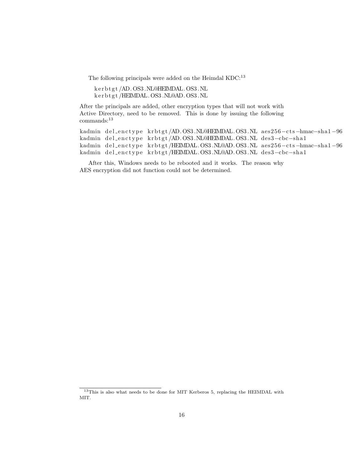The following principals were added on the Heimdal  $\rm KDC:^{13}$ 

k e r b t g t /AD. OS3 .NL@HEIMDAL. OS3 .NL k e r b t g t /HEIMDAL. OS3 .NL@AD. OS3 .NL

After the principals are added, other encryption types that will not work with Active Directory, need to be removed. This is done by issuing the following commands:<sup>13</sup>

```
kadmin del_enctype krbtgt/AD. OS3.NL@HEIMDAL. OS3.NL aes256-cts-hmac-sha1-96
kadmin del_enctype krbtgt/AD. OS3.NL@HEIMDAL. OS3.NL des3-cbc-sha1
kadmin del_enctype krbtgt/HEIMDAL. OS3.NL@AD. OS3.NL aes256-cts-hmac-sha1-96
kadmin del_enctype krbtgt/HEIMDAL. OS3.NL@AD. OS3.NL des3-cbc-sha1
```
After this, Windows needs to be rebooted and it works. The reason why AES encryption did not function could not be determined.

<sup>&</sup>lt;sup>13</sup>This is also what needs to be done for MIT Kerberos 5, replacing the HEIMDAL with MIT.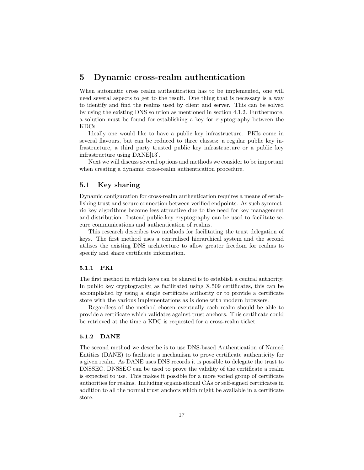# 5 Dynamic cross-realm authentication

When automatic cross realm authentication has to be implemented, one will need several aspects to get to the result. One thing that is necessary is a way to identify and find the realms used by client and server. This can be solved by using the existing DNS solution as mentioned in section 4.1.2. Furthermore, a solution must be found for establishing a key for cryptography between the KDCs.

Ideally one would like to have a public key infrastructure. PKIs come in several flavours, but can be reduced to three classes: a regular public key infrastructure, a third party trusted public key infrastructure or a public key infrastructure using DANE[13].

Next we will discuss several options and methods we consider to be important when creating a dynamic cross-realm authentication procedure.

### 5.1 Key sharing

Dynamic configuration for cross-realm authentication requires a means of establishing trust and secure connection between verified endpoints. As such symmetric key algorithms become less attractive due to the need for key management and distribution. Instead public-key cryptography can be used to facilitate secure communications and authentication of realms.

This research describes two methods for facilitating the trust delegation of keys. The first method uses a centralised hierarchical system and the second utilises the existing DNS architecture to allow greater freedom for realms to specify and share certificate information.

#### 5.1.1 PKI

The first method in which keys can be shared is to establish a central authority. In public key cryptography, as facilitated using X.509 certificates, this can be accomplished by using a single certificate authority or to provide a certificate store with the various implementations as is done with modern browsers.

Regardless of the method chosen eventually each realm should be able to provide a certificate which validates against trust anchors. This certificate could be retrieved at the time a KDC is requested for a cross-realm ticket.

#### 5.1.2 DANE

The second method we describe is to use DNS-based Authentication of Named Entities (DANE) to facilitate a mechanism to prove certificate authenticity for a given realm. As DANE uses DNS records it is possible to delegate the trust to DNSSEC. DNSSEC can be used to prove the validity of the certificate a realm is expected to use. This makes it possible for a more varied group of certificate authorities for realms. Including organisational CAs or self-signed certificates in addition to all the normal trust anchors which might be available in a certificate store.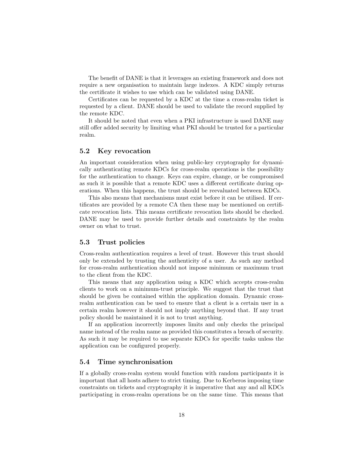The benefit of DANE is that it leverages an existing framework and does not require a new organisation to maintain large indexes. A KDC simply returns the certificate it wishes to use which can be validated using DANE.

Certificates can be requested by a KDC at the time a cross-realm ticket is requested by a client. DANE should be used to validate the record supplied by the remote KDC.

It should be noted that even when a PKI infrastructure is used DANE may still offer added security by limiting what PKI should be trusted for a particular realm.

### 5.2 Key revocation

An important consideration when using public-key cryptography for dynamically authenticating remote KDCs for cross-realm operations is the possibility for the authentication to change. Keys can expire, change, or be compromised as such it is possible that a remote KDC uses a different certificate during operations. When this happens, the trust should be reevaluated between KDCs.

This also means that mechanisms must exist before it can be utilised. If certificates are provided by a remote CA then these may be mentioned on certificate revocation lists. This means certificate revocation lists should be checked. DANE may be used to provide further details and constraints by the realm owner on what to trust.

#### 5.3 Trust policies

Cross-realm authentication requires a level of trust. However this trust should only be extended by trusting the authenticity of a user. As such any method for cross-realm authentication should not impose minimum or maximum trust to the client from the KDC.

This means that any application using a KDC which accepts cross-realm clients to work on a minimum-trust principle. We suggest that the trust that should be given be contained within the application domain. Dynamic crossrealm authentication can be used to ensure that a client is a certain user in a certain realm however it should not imply anything beyond that. If any trust policy should be maintained it is not to trust anything.

If an application incorrectly imposes limits and only checks the principal name instead of the realm name as provided this constitutes a breach of security. As such it may be required to use separate KDCs for specific tasks unless the application can be configured properly.

### 5.4 Time synchronisation

If a globally cross-realm system would function with random participants it is important that all hosts adhere to strict timing. Due to Kerberos imposing time constraints on tickets and cryptography it is imperative that any and all KDCs participating in cross-realm operations be on the same time. This means that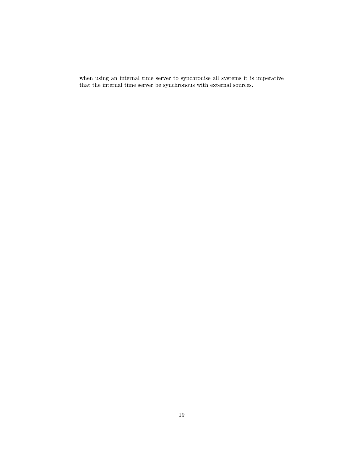when using an internal time server to synchronise all systems it is imperative that the internal time server be synchronous with external sources.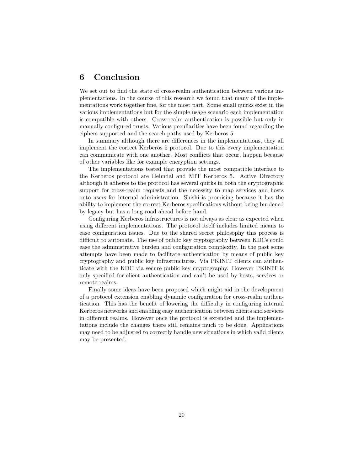# 6 Conclusion

We set out to find the state of cross-realm authentication between various implementations. In the course of this research we found that many of the implementations work together fine, for the most part. Some small quirks exist in the various implementations but for the simple usage scenario each implementation is compatible with others. Cross-realm authentication is possible but only in manually configured trusts. Various peculiarities have been found regarding the ciphers supported and the search paths used by Kerberos 5.

In summary although there are differences in the implementations, they all implement the correct Kerberos 5 protocol. Due to this every implementation can communicate with one another. Most conflicts that occur, happen because of other variables like for example encryption settings.

The implementations tested that provide the most compatible interface to the Kerberos protocol are Heimdal and MIT Kerberos 5. Active Directory although it adheres to the protocol has several quirks in both the cryptographic support for cross-realm requests and the necessity to map services and hosts onto users for internal administration. Shishi is promising because it has the ability to implement the correct Kerberos specifications without being burdened by legacy but has a long road ahead before hand.

Configuring Kerberos infrastructures is not always as clear as expected when using different implementations. The protocol itself includes limited means to ease configuration issues. Due to the shared secret philosophy this process is difficult to automate. The use of public key cryptography between KDCs could ease the administrative burden and configuration complexity. In the past some attempts have been made to facilitate authentication by means of public key cryptography and public key infrastructures. Via PKINIT clients can authenticate with the KDC via secure public key cryptography. However PKINIT is only specified for client authentication and can't be used by hosts, services or remote realms.

Finally some ideas have been proposed which might aid in the development of a protocol extension enabling dynamic configuration for cross-realm authentication. This has the benefit of lowering the difficulty in configuring internal Kerberos networks and enabling easy authentication between clients and services in different realms. However once the protocol is extended and the implementations include the changes there still remains much to be done. Applications may need to be adjusted to correctly handle new situations in which valid clients may be presented.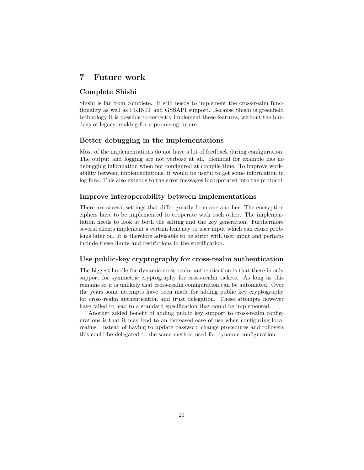# 7 Future work

# Complete Shishi

Shishi is far from complete. It still needs to implement the cross-realm functionality as well as PKINIT and GSSAPI support. Because Shishi is greenfield technology it is possible to correctly implement these features, without the burdens of legacy, making for a promising future.

# Better debugging in the implementations

Most of the implementations do not have a lot of feedback during configuration. The output and logging are not verbose at all. Heimdal for example has no debugging information when not configured at compile time. To improve workability between implementations, it would be useful to get some information in log files. This also extends to the error messages incorporated into the protocol.

# Improve interoperability between implementations

There are several settings that differ greatly from one another. The encryption ciphers have to be implemented to cooperate with each other. The implementation needs to look at both the salting and the key generation. Furthermore several clients implement a certain leniency to user input which can cause problems later on. It is therefore advisable to be strict with user input and perhaps include these limits and restrictions in the specification.

### Use public-key cryptography for cross-realm authentication

The biggest hurdle for dynamic cross-realm authentication is that there is only support for symmetric cryptography for cross-realm tickets. As long as this remains so it is unlikely that cross-realm configuration can be automated. Over the years some attempts have been made for adding public key cryptography for cross-realm authentication and trust delegation. These attempts however have failed to lead to a standard specification that could be implemented.

Another added benefit of adding public key support to cross-realm configurations is that it may lead to an increased ease of use when configuring local realms. Instead of having to update password change procedures and rollovers this could be delegated to the same method used for dynamic configuration.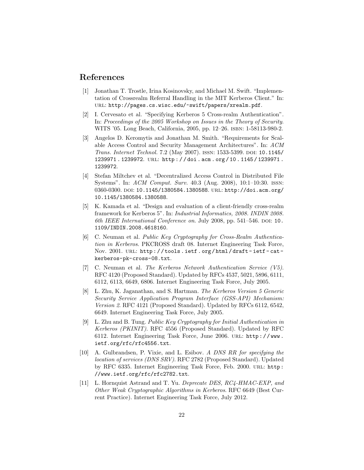# References

- [1] Jonathan T. Trostle, Irina Kosinovsky, and Michael M. Swift. "Implementation of Crossrealm Referral Handling in the MIT Kerberos Client." In: url: http://pages.cs.wisc.edu/~swift/papers/xrealm.pdf.
- [2] I. Cervesato et al. "Specifying Kerberos 5 Cross-realm Authentication". In: Proceedings of the 2005 Workshop on Issues in the Theory of Security. WITS '05. Long Beach, California, 2005, pp. 12–26. isbn: 1-58113-980-2.
- [3] Angelos D. Keromytis and Jonathan M. Smith. "Requirements for Scalable Access Control and Security Management Architectures". In: ACM Trans. Internet Technol. 7.2 (May 2007). ISSN: 1533-5399. DOI: 10.1145/ 1239971 . 1239972. url: http : / / doi . acm . org / 10 . 1145 / 1239971 . 1239972.
- [4] Stefan Miltchev et al. "Decentralized Access Control in Distributed File Systems". In: ACM Comput. Surv. 40.3 (Aug. 2008), 10:1–10:30. issn: 0360-0300. DOI: 10.1145/1380584.1380588. URL: http://doi.acm.org/ 10.1145/1380584.1380588.
- [5] K. Kamada et al. "Design and evaluation of a client-friendly cross-realm framework for Kerberos 5". In: Industrial Informatics, 2008. INDIN 2008. 6th IEEE International Conference on. July 2008, pp.  $541-546$ . DOI: 10. 1109/INDIN.2008.4618160.
- [6] C. Neuman et al. Public Key Cryptography for Cross-Realm Authentication in Kerberos. PKCROSS draft 08. Internet Engineering Task Force, Nov. 2001. URL: http://tools.ietf.org/html/draft-ietf-catkerberos-pk-cross-08.txt.
- [7] C. Neuman et al. The Kerberos Network Authentication Service (V5). RFC 4120 (Proposed Standard). Updated by RFCs 4537, 5021, 5896, 6111, 6112, 6113, 6649, 6806. Internet Engineering Task Force, July 2005.
- [8] L. Zhu, K. Jaganathan, and S. Hartman. The Kerberos Version 5 Generic Security Service Application Program Interface (GSS-API) Mechanism: Version 2. RFC 4121 (Proposed Standard). Updated by RFCs 6112, 6542, 6649. Internet Engineering Task Force, July 2005.
- [9] L. Zhu and B. Tung. Public Key Cryptography for Initial Authentication in Kerberos (PKINIT). RFC 4556 (Proposed Standard). Updated by RFC 6112. Internet Engineering Task Force, June 2006. url: http : / / www . ietf.org/rfc/rfc4556.txt.
- [10] A. Gulbrandsen, P. Vixie, and L. Esibov. A DNS RR for specifying the location of services (DNS SRV). RFC 2782 (Proposed Standard). Updated by RFC 6335. Internet Engineering Task Force, Feb. 2000. url: http: //www.ietf.org/rfc/rfc2782.txt.
- [11] L. Hornquist Astrand and T. Yu. Deprecate DES, RC4-HMAC-EXP, and Other Weak Cryptographic Algorithms in Kerberos. RFC 6649 (Best Current Practice). Internet Engineering Task Force, July 2012.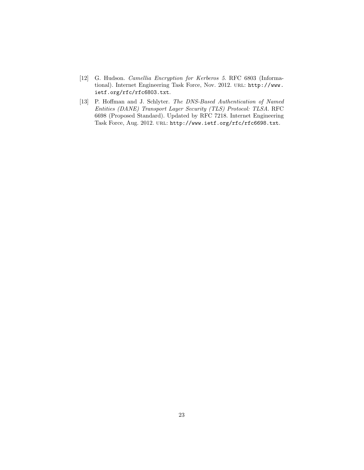- [12] G. Hudson. Camellia Encryption for Kerberos 5. RFC 6803 (Informational). Internet Engineering Task Force, Nov. 2012. URL: http://www. ietf.org/rfc/rfc6803.txt.
- [13] P. Hoffman and J. Schlyter. The DNS-Based Authentication of Named Entities (DANE) Transport Layer Security (TLS) Protocol: TLSA. RFC 6698 (Proposed Standard). Updated by RFC 7218. Internet Engineering Task Force, Aug. 2012. url: http://www.ietf.org/rfc/rfc6698.txt.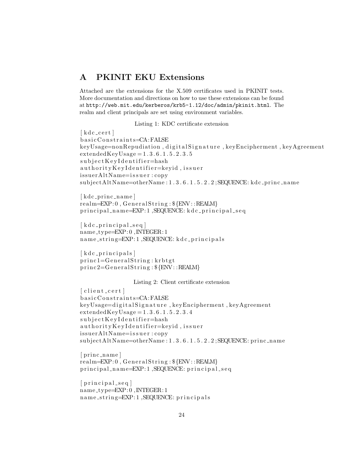# A PKINIT EKU Extensions

Attached are the extensions for the X.509 certificates used in PKINIT tests. More documentation and directions on how to use these extensions can be found at http://web.mit.edu/kerberos/krb5-1.12/doc/admin/pkinit.html. The realm and client principals are set using environment variables.

Listing 1: KDC certificate extension

 $\lceil$  k d c \_ c e r t  $\rceil$ basic Constraints=CA:FALSE keyUsage=nonRepudiation, digitalSignature, keyEncipherment, keyAgreement extendedKeyUsage = 1 . 3 . 6 . 1 . 5 . 2 . 3 . 5 subject Key I dentifier=hash authority Key I den tifier=keyid, issuer issuerAltName=issuer:copy subjectAltName=otherName: 1.3.6.1.5.2.2; SEQUENCE: kdc\_princ\_name

 $\lceil$  kdc\_princ\_name  $\rceil$  $realm=\nEXP: 0$ ,  $GeneralString: \S \{ENV::REALM\}$ principal\_name=EXP:1,SEQUENCE: kdc\_principal\_seq

 $\lceil$  kdc\_principal\_seq  $\rceil$ name type=EXP: 0 ,INTEGER: 1 n am e\_string=EXP: 1, SEQUENCE: k d c\_principals

 $\lceil k d c \rceil$  principals  $\lceil$  $princ 1 = GeneralString: krbtgt$  $princ2 = GeneralString : \{ENV :: REALM\}$ 

Listing 2: Client certificate extension

 $\lceil$  client\_cert  $\rceil$ basic Constraints=CA:FALSE keyUsage=digitalSignature, keyEncipherment, keyAgreement extendedKeyUsage = 1 . 3 . 6 . 1 . 5 . 2 . 3 . 4 subject Key I dentifier=hash authority Key I dentifier=keyid, issuer issuerAltName=issuer:copy  $subjectAltName=otherName: 1.3.6.1.5.2.2; SEQUENCE: princ_name$ 

 $[prime_name]$ realm=EXP: 0 , G e n e r al S t ri n g : \${ENV: :REALM} principal\_name=EXP:1, SEQUENCE: principal\_seq

 $[principal-seq]$ name type=EXP: 0 ,INTEGER: 1 name\_string=EXP:1, SEQUENCE: principals